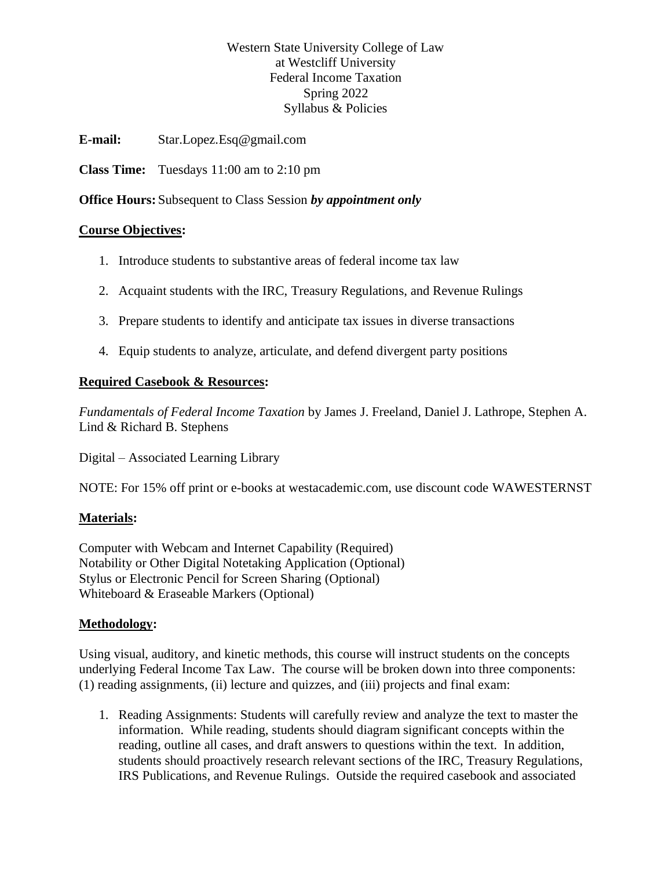# Western State University College of Law at Westcliff University Federal Income Taxation Spring 2022 Syllabus & Policies

**E-mail:** Star.Lopez.Esq@gmail.com

**Class Time:** Tuesdays 11:00 am to 2:10 pm

**Office Hours:** Subsequent to Class Session *by appointment only*

# **Course Objectives:**

- 1. Introduce students to substantive areas of federal income tax law
- 2. Acquaint students with the IRC, Treasury Regulations, and Revenue Rulings
- 3. Prepare students to identify and anticipate tax issues in diverse transactions
- 4. Equip students to analyze, articulate, and defend divergent party positions

# **Required Casebook & Resources:**

*Fundamentals of Federal Income Taxation* by James J. Freeland, Daniel J. Lathrope, Stephen A. Lind & Richard B. Stephens

Digital – Associated Learning Library

NOTE: For 15% off print or e-books at westacademic.com, use discount code WAWESTERNST

# **Materials:**

Computer with Webcam and Internet Capability (Required) Notability or Other Digital Notetaking Application (Optional) Stylus or Electronic Pencil for Screen Sharing (Optional) Whiteboard & Eraseable Markers (Optional)

# **Methodology:**

Using visual, auditory, and kinetic methods, this course will instruct students on the concepts underlying Federal Income Tax Law. The course will be broken down into three components: (1) reading assignments, (ii) lecture and quizzes, and (iii) projects and final exam:

1. Reading Assignments: Students will carefully review and analyze the text to master the information. While reading, students should diagram significant concepts within the reading, outline all cases, and draft answers to questions within the text. In addition, students should proactively research relevant sections of the IRC, Treasury Regulations, IRS Publications, and Revenue Rulings. Outside the required casebook and associated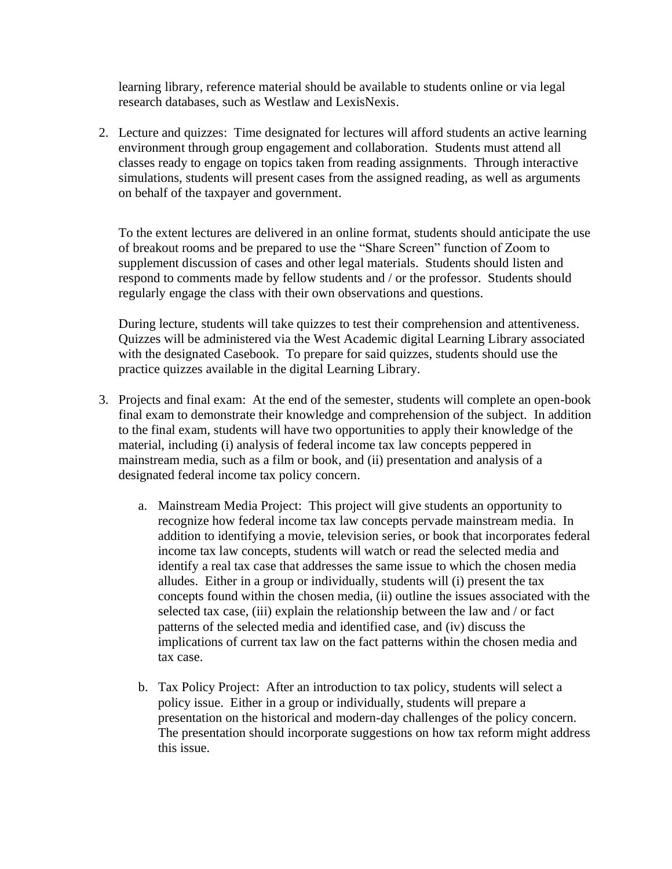learning library, reference material should be available to students online or via legal research databases, such as Westlaw and LexisNexis.

2. Lecture and quizzes: Time designated for lectures will afford students an active learning environment through group engagement and collaboration. Students must attend all classes ready to engage on topics taken from reading assignments. Through interactive simulations, students will present cases from the assigned reading, as well as arguments on behalf of the taxpayer and government.

To the extent lectures are delivered in an online format, students should anticipate the use of breakout rooms and be prepared to use the "Share Screen" function of Zoom to supplement discussion of cases and other legal materials. Students should listen and respond to comments made by fellow students and / or the professor. Students should regularly engage the class with their own observations and questions.

During lecture, students will take quizzes to test their comprehension and attentiveness. Quizzes will be administered via the West Academic digital Learning Library associated with the designated Casebook. To prepare for said quizzes, students should use the practice quizzes available in the digital Learning Library.

- 3. Projects and final exam: At the end of the semester, students will complete an open-book final exam to demonstrate their knowledge and comprehension of the subject. In addition to the final exam, students will have two opportunities to apply their knowledge of the material, including (i) analysis of federal income tax law concepts peppered in mainstream media, such as a film or book, and (ii) presentation and analysis of a designated federal income tax policy concern.
	- a. Mainstream Media Project: This project will give students an opportunity to recognize how federal income tax law concepts pervade mainstream media. In addition to identifying a movie, television series, or book that incorporates federal income tax law concepts, students will watch or read the selected media and identify a real tax case that addresses the same issue to which the chosen media alludes. Either in a group or individually, students will (i) present the tax concepts found within the chosen media, (ii) outline the issues associated with the selected tax case, (iii) explain the relationship between the law and / or fact patterns of the selected media and identified case, and (iv) discuss the implications of current tax law on the fact patterns within the chosen media and tax case.
	- b. Tax Policy Project: After an introduction to tax policy, students will select a policy issue. Either in a group or individually, students will prepare a presentation on the historical and modern-day challenges of the policy concern. The presentation should incorporate suggestions on how tax reform might address this issue.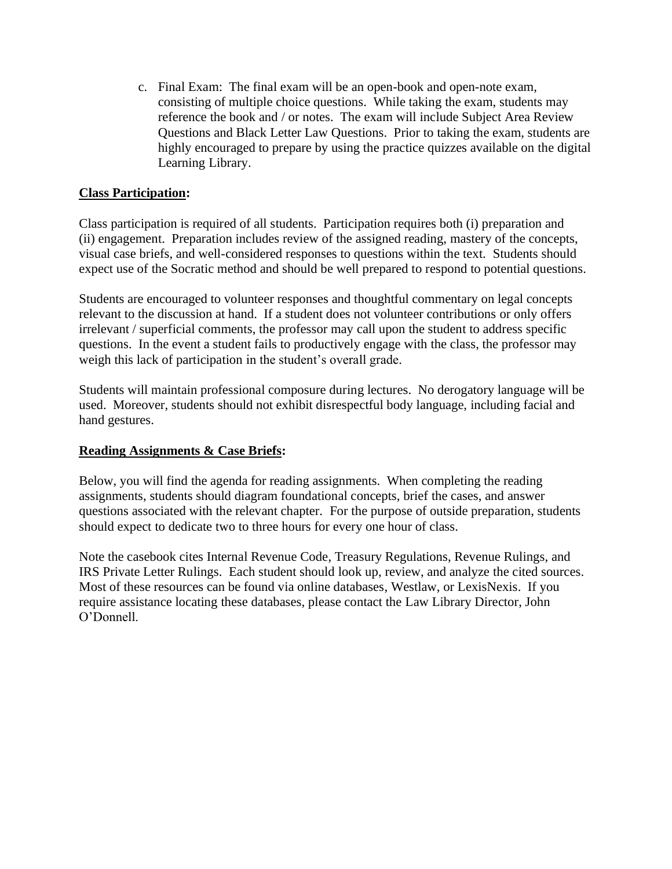c. Final Exam: The final exam will be an open-book and open-note exam, consisting of multiple choice questions. While taking the exam, students may reference the book and / or notes. The exam will include Subject Area Review Questions and Black Letter Law Questions. Prior to taking the exam, students are highly encouraged to prepare by using the practice quizzes available on the digital Learning Library.

# **Class Participation:**

Class participation is required of all students. Participation requires both (i) preparation and (ii) engagement. Preparation includes review of the assigned reading, mastery of the concepts, visual case briefs, and well-considered responses to questions within the text. Students should expect use of the Socratic method and should be well prepared to respond to potential questions.

Students are encouraged to volunteer responses and thoughtful commentary on legal concepts relevant to the discussion at hand. If a student does not volunteer contributions or only offers irrelevant / superficial comments, the professor may call upon the student to address specific questions. In the event a student fails to productively engage with the class, the professor may weigh this lack of participation in the student's overall grade.

Students will maintain professional composure during lectures. No derogatory language will be used. Moreover, students should not exhibit disrespectful body language, including facial and hand gestures.

# **Reading Assignments & Case Briefs:**

Below, you will find the agenda for reading assignments. When completing the reading assignments, students should diagram foundational concepts, brief the cases, and answer questions associated with the relevant chapter. For the purpose of outside preparation, students should expect to dedicate two to three hours for every one hour of class.

Note the casebook cites Internal Revenue Code, Treasury Regulations, Revenue Rulings, and IRS Private Letter Rulings. Each student should look up, review, and analyze the cited sources. Most of these resources can be found via online databases, Westlaw, or LexisNexis. If you require assistance locating these databases, please contact the Law Library Director, John O'Donnell.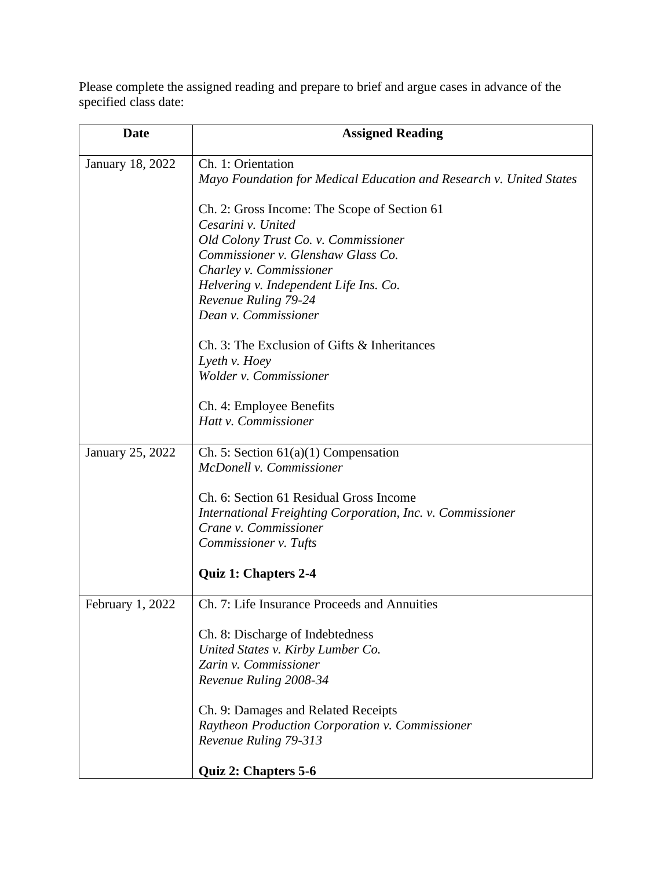Please complete the assigned reading and prepare to brief and argue cases in advance of the specified class date:

| <b>Date</b>             | <b>Assigned Reading</b>                                             |
|-------------------------|---------------------------------------------------------------------|
| <b>January 18, 2022</b> | Ch. 1: Orientation                                                  |
|                         | Mayo Foundation for Medical Education and Research v. United States |
|                         | Ch. 2: Gross Income: The Scope of Section 61                        |
|                         | Cesarini v. United                                                  |
|                         | Old Colony Trust Co. v. Commissioner                                |
|                         | Commissioner v. Glenshaw Glass Co.                                  |
|                         | Charley v. Commissioner<br>Helvering v. Independent Life Ins. Co.   |
|                         | Revenue Ruling 79-24                                                |
|                         | Dean v. Commissioner                                                |
|                         | Ch. 3: The Exclusion of Gifts & Inheritances                        |
|                         | Lyeth v. Hoey                                                       |
|                         | Wolder v. Commissioner                                              |
|                         | Ch. 4: Employee Benefits                                            |
|                         | Hatt v. Commissioner                                                |
| January 25, 2022        | Ch. 5: Section $61(a)(1)$ Compensation                              |
|                         | McDonell v. Commissioner                                            |
|                         | Ch. 6: Section 61 Residual Gross Income                             |
|                         | International Freighting Corporation, Inc. v. Commissioner          |
|                         | Crane v. Commissioner                                               |
|                         | Commissioner v. Tufts                                               |
|                         | <b>Quiz 1: Chapters 2-4</b>                                         |
| February 1, 2022        | Ch. 7: Life Insurance Proceeds and Annuities                        |
|                         | Ch. 8: Discharge of Indebtedness                                    |
|                         | United States v. Kirby Lumber Co.                                   |
|                         | Zarin v. Commissioner                                               |
|                         | Revenue Ruling 2008-34                                              |
|                         | Ch. 9: Damages and Related Receipts                                 |
|                         | Raytheon Production Corporation v. Commissioner                     |
|                         | Revenue Ruling 79-313                                               |
|                         | Quiz 2: Chapters 5-6                                                |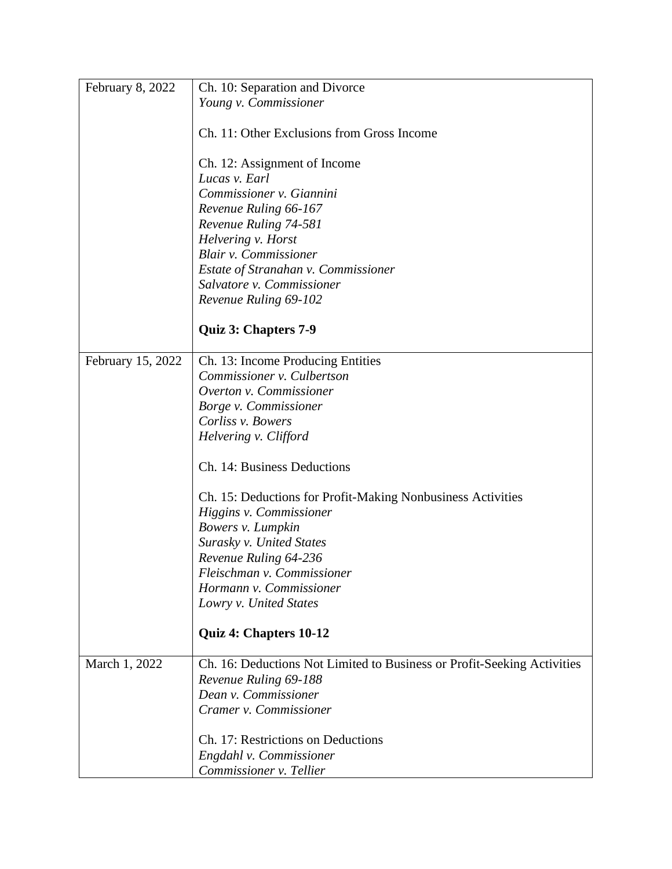| February 8, 2022  | Ch. 10: Separation and Divorce                                          |
|-------------------|-------------------------------------------------------------------------|
|                   | Young v. Commissioner                                                   |
|                   |                                                                         |
|                   | Ch. 11: Other Exclusions from Gross Income                              |
|                   | Ch. 12: Assignment of Income                                            |
|                   | Lucas v. Earl                                                           |
|                   | Commissioner v. Giannini                                                |
|                   | Revenue Ruling 66-167                                                   |
|                   | Revenue Ruling 74-581                                                   |
|                   | Helvering v. Horst                                                      |
|                   | <b>Blair v. Commissioner</b>                                            |
|                   | Estate of Stranahan v. Commissioner                                     |
|                   | Salvatore v. Commissioner                                               |
|                   | Revenue Ruling 69-102                                                   |
|                   |                                                                         |
|                   | Quiz 3: Chapters 7-9                                                    |
| February 15, 2022 | Ch. 13: Income Producing Entities                                       |
|                   | Commissioner v. Culbertson                                              |
|                   | Overton v. Commissioner                                                 |
|                   | Borge v. Commissioner                                                   |
|                   | Corliss v. Bowers                                                       |
|                   | Helvering v. Clifford                                                   |
|                   |                                                                         |
|                   | Ch. 14: Business Deductions                                             |
|                   | Ch. 15: Deductions for Profit-Making Nonbusiness Activities             |
|                   | Higgins v. Commissioner                                                 |
|                   | Bowers v. Lumpkin                                                       |
|                   | Surasky v. United States                                                |
|                   | Revenue Ruling 64-236                                                   |
|                   | Fleischman v. Commissioner                                              |
|                   | Hormann v. Commissioner                                                 |
|                   | Lowry v. United States                                                  |
|                   | Quiz 4: Chapters 10-12                                                  |
| March 1, 2022     | Ch. 16: Deductions Not Limited to Business or Profit-Seeking Activities |
|                   | Revenue Ruling 69-188                                                   |
|                   | Dean v. Commissioner                                                    |
|                   | Cramer v. Commissioner                                                  |
|                   | Ch. 17: Restrictions on Deductions                                      |
|                   | Engdahl v. Commissioner                                                 |
|                   | Commissioner v. Tellier                                                 |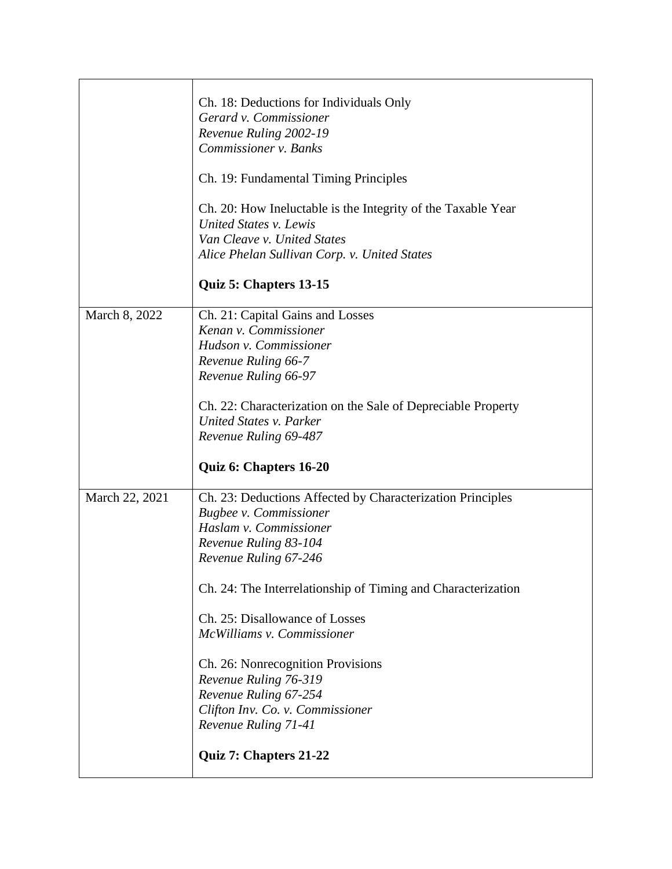|                | Ch. 18: Deductions for Individuals Only<br>Gerard v. Commissioner<br>Revenue Ruling 2002-19<br>Commissioner v. Banks<br>Ch. 19: Fundamental Timing Principles<br>Ch. 20: How Ineluctable is the Integrity of the Taxable Year<br>United States v. Lewis<br>Van Cleave v. United States<br>Alice Phelan Sullivan Corp. v. United States<br>Quiz 5: Chapters 13-15 |
|----------------|------------------------------------------------------------------------------------------------------------------------------------------------------------------------------------------------------------------------------------------------------------------------------------------------------------------------------------------------------------------|
|                |                                                                                                                                                                                                                                                                                                                                                                  |
| March 8, 2022  | Ch. 21: Capital Gains and Losses<br>Kenan v. Commissioner<br>Hudson v. Commissioner<br>Revenue Ruling 66-7<br>Revenue Ruling 66-97                                                                                                                                                                                                                               |
|                | Ch. 22: Characterization on the Sale of Depreciable Property<br>United States v. Parker<br>Revenue Ruling 69-487                                                                                                                                                                                                                                                 |
|                | Quiz 6: Chapters 16-20                                                                                                                                                                                                                                                                                                                                           |
| March 22, 2021 | Ch. 23: Deductions Affected by Characterization Principles<br>Bugbee v. Commissioner<br>Haslam v. Commissioner<br>Revenue Ruling 83-104<br>Revenue Ruling 67-246<br>Ch. 24: The Interrelationship of Timing and Characterization                                                                                                                                 |
|                | Ch. 25: Disallowance of Losses<br>McWilliams v. Commissioner<br>Ch. 26: Nonrecognition Provisions<br>Revenue Ruling 76-319<br>Revenue Ruling 67-254<br>Clifton Inv. Co. v. Commissioner<br>Revenue Ruling 71-41<br>Quiz 7: Chapters 21-22                                                                                                                        |
|                |                                                                                                                                                                                                                                                                                                                                                                  |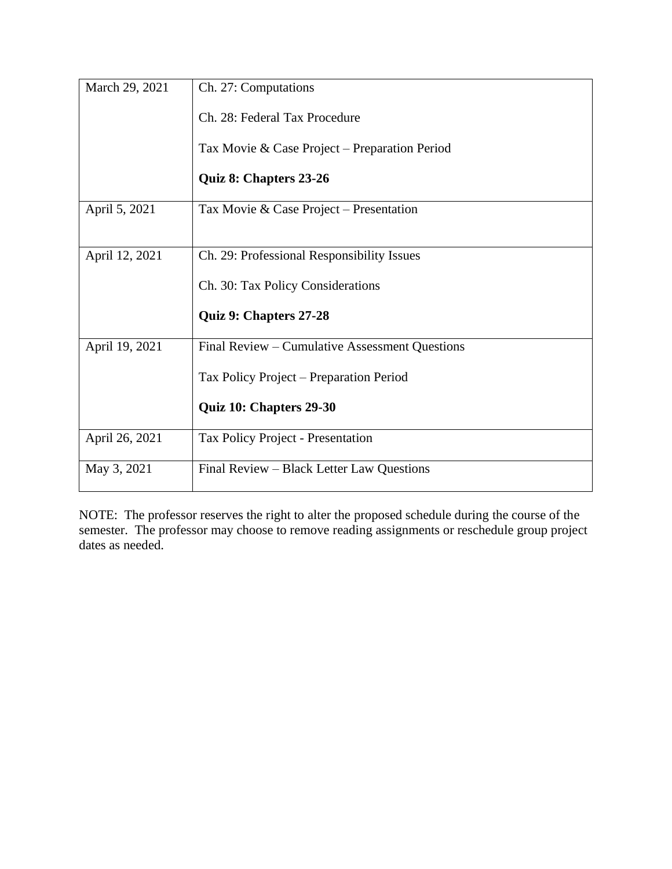| March 29, 2021 | Ch. 27: Computations                           |
|----------------|------------------------------------------------|
|                | Ch. 28: Federal Tax Procedure                  |
|                | Tax Movie & Case Project – Preparation Period  |
|                | Quiz 8: Chapters 23-26                         |
| April 5, 2021  | Tax Movie & Case Project – Presentation        |
|                |                                                |
| April 12, 2021 | Ch. 29: Professional Responsibility Issues     |
|                | Ch. 30: Tax Policy Considerations              |
|                | Quiz 9: Chapters 27-28                         |
| April 19, 2021 | Final Review – Cumulative Assessment Questions |
|                | Tax Policy Project – Preparation Period        |
|                | Quiz 10: Chapters 29-30                        |
| April 26, 2021 | Tax Policy Project - Presentation              |
| May 3, 2021    | Final Review – Black Letter Law Questions      |

NOTE: The professor reserves the right to alter the proposed schedule during the course of the semester. The professor may choose to remove reading assignments or reschedule group project dates as needed.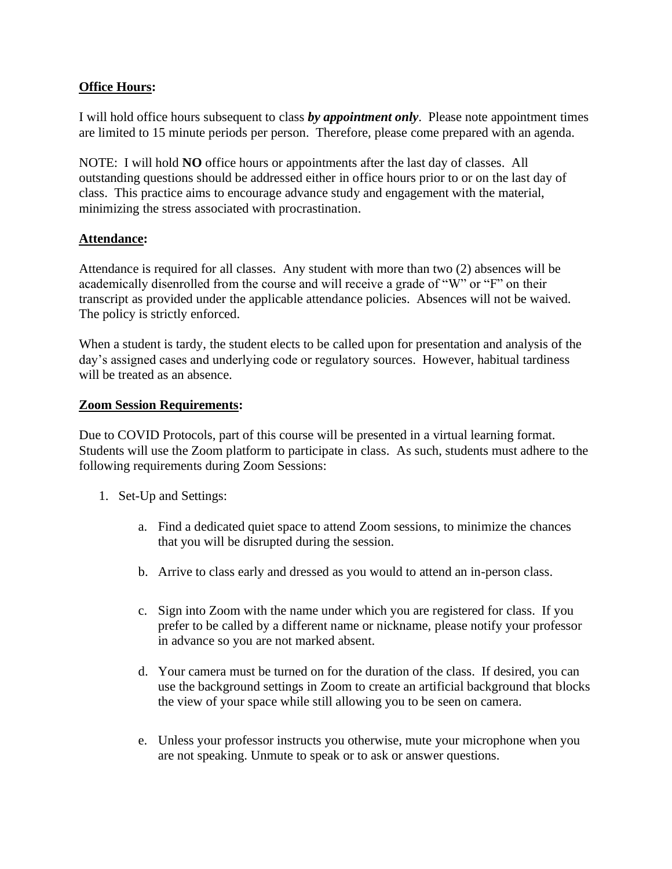# **Office Hours:**

I will hold office hours subsequent to class *by appointment only*. Please note appointment times are limited to 15 minute periods per person. Therefore, please come prepared with an agenda.

NOTE: I will hold **NO** office hours or appointments after the last day of classes. All outstanding questions should be addressed either in office hours prior to or on the last day of class. This practice aims to encourage advance study and engagement with the material, minimizing the stress associated with procrastination.

# **Attendance:**

Attendance is required for all classes. Any student with more than two (2) absences will be academically disenrolled from the course and will receive a grade of "W" or "F" on their transcript as provided under the applicable attendance policies. Absences will not be waived. The policy is strictly enforced.

When a student is tardy, the student elects to be called upon for presentation and analysis of the day's assigned cases and underlying code or regulatory sources. However, habitual tardiness will be treated as an absence.

# **Zoom Session Requirements:**

Due to COVID Protocols, part of this course will be presented in a virtual learning format. Students will use the Zoom platform to participate in class. As such, students must adhere to the following requirements during Zoom Sessions:

- 1. Set-Up and Settings:
	- a. Find a dedicated quiet space to attend Zoom sessions, to minimize the chances that you will be disrupted during the session.
	- b. Arrive to class early and dressed as you would to attend an in-person class.
	- c. Sign into Zoom with the name under which you are registered for class. If you prefer to be called by a different name or nickname, please notify your professor in advance so you are not marked absent.
	- d. Your camera must be turned on for the duration of the class. If desired, you can use the background settings in Zoom to create an artificial background that blocks the view of your space while still allowing you to be seen on camera.
	- e. Unless your professor instructs you otherwise, mute your microphone when you are not speaking. Unmute to speak or to ask or answer questions.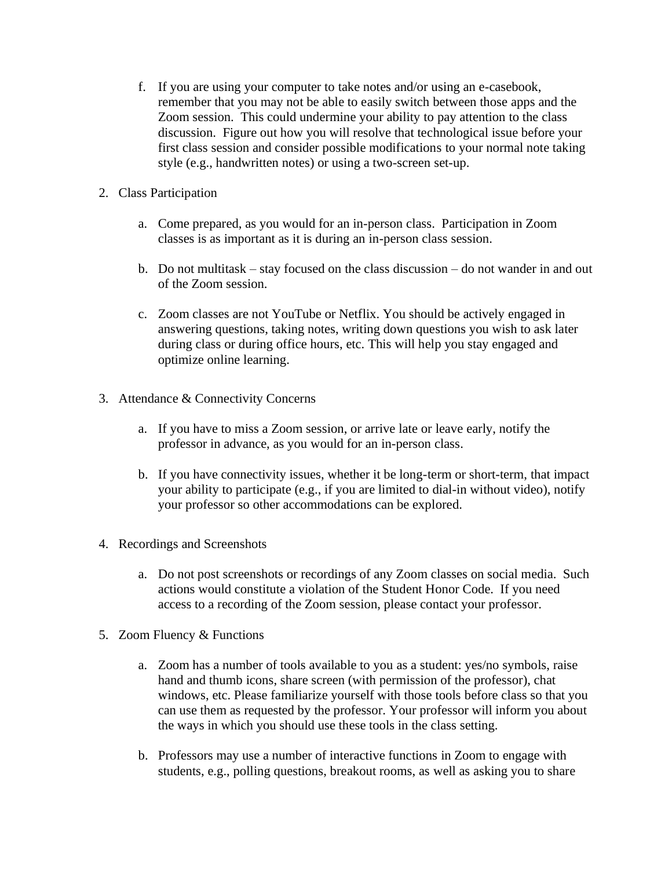- f. If you are using your computer to take notes and/or using an e-casebook, remember that you may not be able to easily switch between those apps and the Zoom session. This could undermine your ability to pay attention to the class discussion. Figure out how you will resolve that technological issue before your first class session and consider possible modifications to your normal note taking style (e.g., handwritten notes) or using a two-screen set-up.
- 2. Class Participation
	- a. Come prepared, as you would for an in-person class. Participation in Zoom classes is as important as it is during an in-person class session.
	- b. Do not multitask stay focused on the class discussion do not wander in and out of the Zoom session.
	- c. Zoom classes are not YouTube or Netflix. You should be actively engaged in answering questions, taking notes, writing down questions you wish to ask later during class or during office hours, etc. This will help you stay engaged and optimize online learning.
- 3. Attendance & Connectivity Concerns
	- a. If you have to miss a Zoom session, or arrive late or leave early, notify the professor in advance, as you would for an in-person class.
	- b. If you have connectivity issues, whether it be long-term or short-term, that impact your ability to participate (e.g., if you are limited to dial-in without video), notify your professor so other accommodations can be explored.
- 4. Recordings and Screenshots
	- a. Do not post screenshots or recordings of any Zoom classes on social media. Such actions would constitute a violation of the Student Honor Code. If you need access to a recording of the Zoom session, please contact your professor.
- 5. Zoom Fluency & Functions
	- a. Zoom has a number of tools available to you as a student: yes/no symbols, raise hand and thumb icons, share screen (with permission of the professor), chat windows, etc. Please familiarize yourself with those tools before class so that you can use them as requested by the professor. Your professor will inform you about the ways in which you should use these tools in the class setting.
	- b. Professors may use a number of interactive functions in Zoom to engage with students, e.g., polling questions, breakout rooms, as well as asking you to share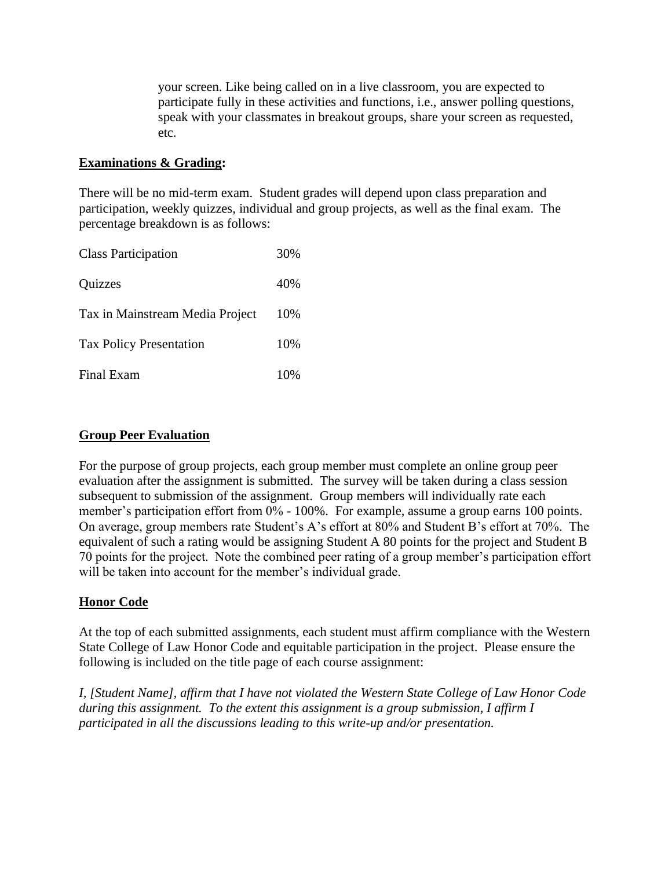your screen. Like being called on in a live classroom, you are expected to participate fully in these activities and functions, i.e., answer polling questions, speak with your classmates in breakout groups, share your screen as requested, etc.

# **Examinations & Grading:**

There will be no mid-term exam. Student grades will depend upon class preparation and participation, weekly quizzes, individual and group projects, as well as the final exam. The percentage breakdown is as follows:

| <b>Class Participation</b>      | 30% |
|---------------------------------|-----|
| <b>Quizzes</b>                  | 40% |
| Tax in Mainstream Media Project | 10% |
| <b>Tax Policy Presentation</b>  | 10% |
| Final Exam                      | 10% |

# **Group Peer Evaluation**

For the purpose of group projects, each group member must complete an online group peer evaluation after the assignment is submitted. The survey will be taken during a class session subsequent to submission of the assignment. Group members will individually rate each member's participation effort from 0% - 100%. For example, assume a group earns 100 points. On average, group members rate Student's A's effort at 80% and Student B's effort at 70%. The equivalent of such a rating would be assigning Student A 80 points for the project and Student B 70 points for the project. Note the combined peer rating of a group member's participation effort will be taken into account for the member's individual grade.

# **Honor Code**

At the top of each submitted assignments, each student must affirm compliance with the Western State College of Law Honor Code and equitable participation in the project. Please ensure the following is included on the title page of each course assignment:

*I, [Student Name], affirm that I have not violated the Western State College of Law Honor Code during this assignment. To the extent this assignment is a group submission, I affirm I participated in all the discussions leading to this write-up and/or presentation.*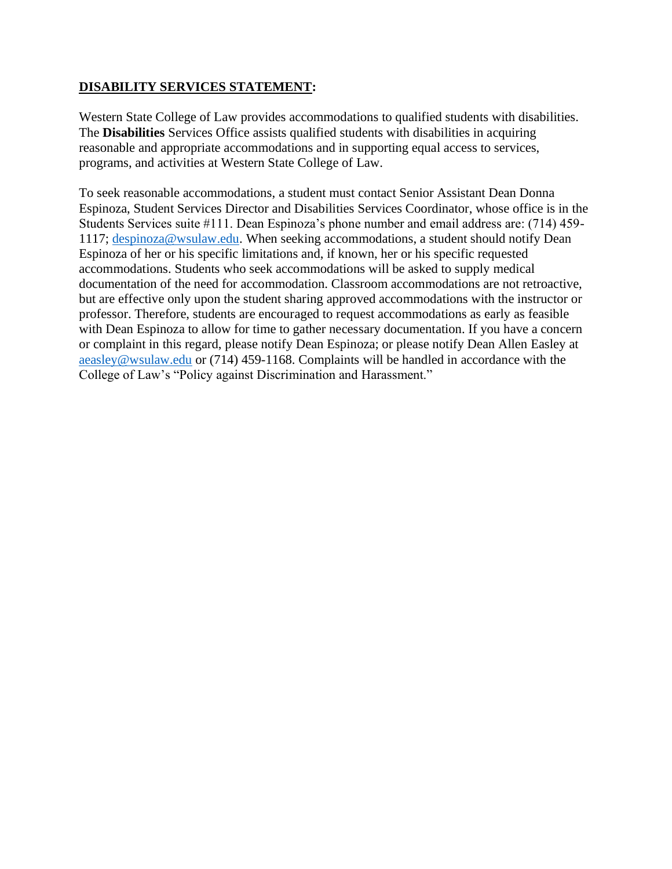# **DISABILITY SERVICES STATEMENT:**

Western State College of Law provides accommodations to qualified students with disabilities. The **Disabilities** Services Office assists qualified students with disabilities in acquiring reasonable and appropriate accommodations and in supporting equal access to services, programs, and activities at Western State College of Law.

To seek reasonable accommodations, a student must contact Senior Assistant Dean Donna Espinoza, Student Services Director and Disabilities Services Coordinator, whose office is in the Students Services suite #111. Dean Espinoza's phone number and email address are: (714) 459- 1117; [despinoza@wsulaw.edu.](mailto:despinoza@wsulaw.edu) When seeking accommodations, a student should notify Dean Espinoza of her or his specific limitations and, if known, her or his specific requested accommodations. Students who seek accommodations will be asked to supply medical documentation of the need for accommodation. Classroom accommodations are not retroactive, but are effective only upon the student sharing approved accommodations with the instructor or professor. Therefore, students are encouraged to request accommodations as early as feasible with Dean Espinoza to allow for time to gather necessary documentation. If you have a concern or complaint in this regard, please notify Dean Espinoza; or please notify Dean Allen Easley at [aeasley@wsulaw.edu](mailto:aeasley@wsulaw.edu) or (714) 459-1168. Complaints will be handled in accordance with the College of Law's "Policy against Discrimination and Harassment."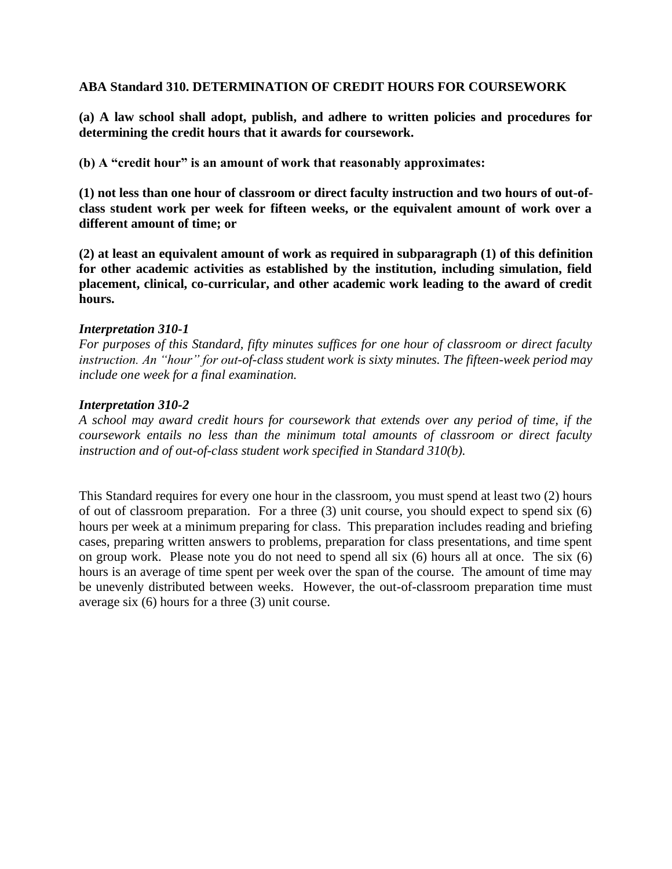# **ABA Standard 310. DETERMINATION OF CREDIT HOURS FOR COURSEWORK**

**(a) A law school shall adopt, publish, and adhere to written policies and procedures for determining the credit hours that it awards for coursework.**

**(b) A "credit hour" is an amount of work that reasonably approximates:**

**(1) not less than one hour of classroom or direct faculty instruction and two hours of out-ofclass student work per week for fifteen weeks, or the equivalent amount of work over a different amount of time; or**

**(2) at least an equivalent amount of work as required in subparagraph (1) of this definition for other academic activities as established by the institution, including simulation, field placement, clinical, co-curricular, and other academic work leading to the award of credit hours.**

#### *Interpretation 310-1*

*For purposes of this Standard, fifty minutes suffices for one hour of classroom or direct faculty instruction. An "hour" for out-of-class student work is sixty minutes. The fifteen-week period may include one week for a final examination.*

#### *Interpretation 310-2*

*A school may award credit hours for coursework that extends over any period of time, if the coursework entails no less than the minimum total amounts of classroom or direct faculty instruction and of out-of-class student work specified in Standard 310(b).*

This Standard requires for every one hour in the classroom, you must spend at least two (2) hours of out of classroom preparation. For a three (3) unit course, you should expect to spend six (6) hours per week at a minimum preparing for class. This preparation includes reading and briefing cases, preparing written answers to problems, preparation for class presentations, and time spent on group work. Please note you do not need to spend all six (6) hours all at once. The six (6) hours is an average of time spent per week over the span of the course. The amount of time may be unevenly distributed between weeks. However, the out-of-classroom preparation time must average six (6) hours for a three (3) unit course.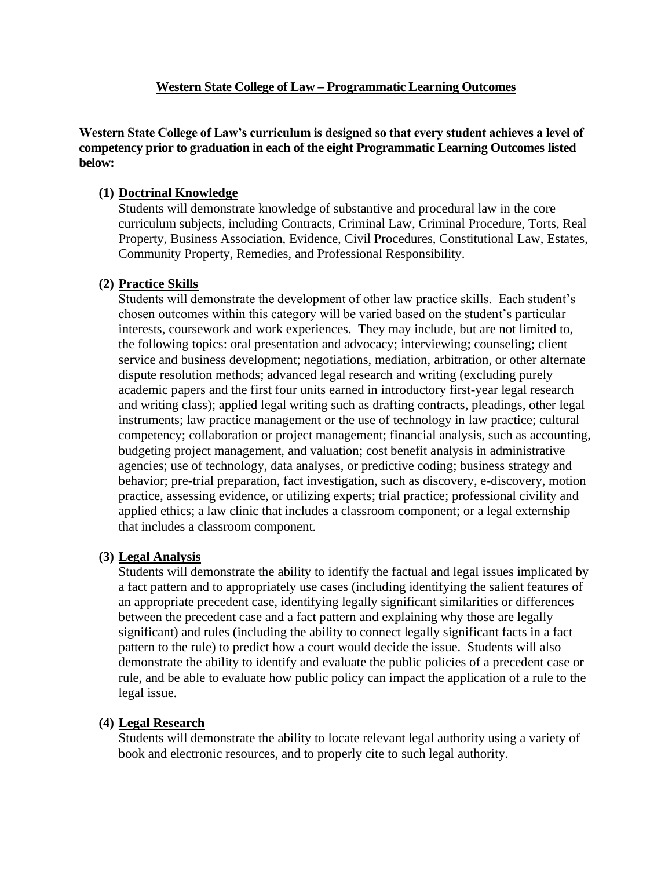# **Western State College of Law – Programmatic Learning Outcomes**

**Western State College of Law's curriculum is designed so that every student achieves a level of competency prior to graduation in each of the eight Programmatic Learning Outcomes listed below:**

# **(1) Doctrinal Knowledge**

Students will demonstrate knowledge of substantive and procedural law in the core curriculum subjects, including Contracts, Criminal Law, Criminal Procedure, Torts, Real Property, Business Association, Evidence, Civil Procedures, Constitutional Law, Estates, Community Property, Remedies, and Professional Responsibility.

# **(2) Practice Skills**

Students will demonstrate the development of other law practice skills. Each student's chosen outcomes within this category will be varied based on the student's particular interests, coursework and work experiences. They may include, but are not limited to, the following topics: oral presentation and advocacy; interviewing; counseling; client service and business development; negotiations, mediation, arbitration, or other alternate dispute resolution methods; advanced legal research and writing (excluding purely academic papers and the first four units earned in introductory first-year legal research and writing class); applied legal writing such as drafting contracts, pleadings, other legal instruments; law practice management or the use of technology in law practice; cultural competency; collaboration or project management; financial analysis, such as accounting, budgeting project management, and valuation; cost benefit analysis in administrative agencies; use of technology, data analyses, or predictive coding; business strategy and behavior; pre-trial preparation, fact investigation, such as discovery, e-discovery, motion practice, assessing evidence, or utilizing experts; trial practice; professional civility and applied ethics; a law clinic that includes a classroom component; or a legal externship that includes a classroom component.

# **(3) Legal Analysis**

Students will demonstrate the ability to identify the factual and legal issues implicated by a fact pattern and to appropriately use cases (including identifying the salient features of an appropriate precedent case, identifying legally significant similarities or differences between the precedent case and a fact pattern and explaining why those are legally significant) and rules (including the ability to connect legally significant facts in a fact pattern to the rule) to predict how a court would decide the issue. Students will also demonstrate the ability to identify and evaluate the public policies of a precedent case or rule, and be able to evaluate how public policy can impact the application of a rule to the legal issue.

# **(4) Legal Research**

Students will demonstrate the ability to locate relevant legal authority using a variety of book and electronic resources, and to properly cite to such legal authority.